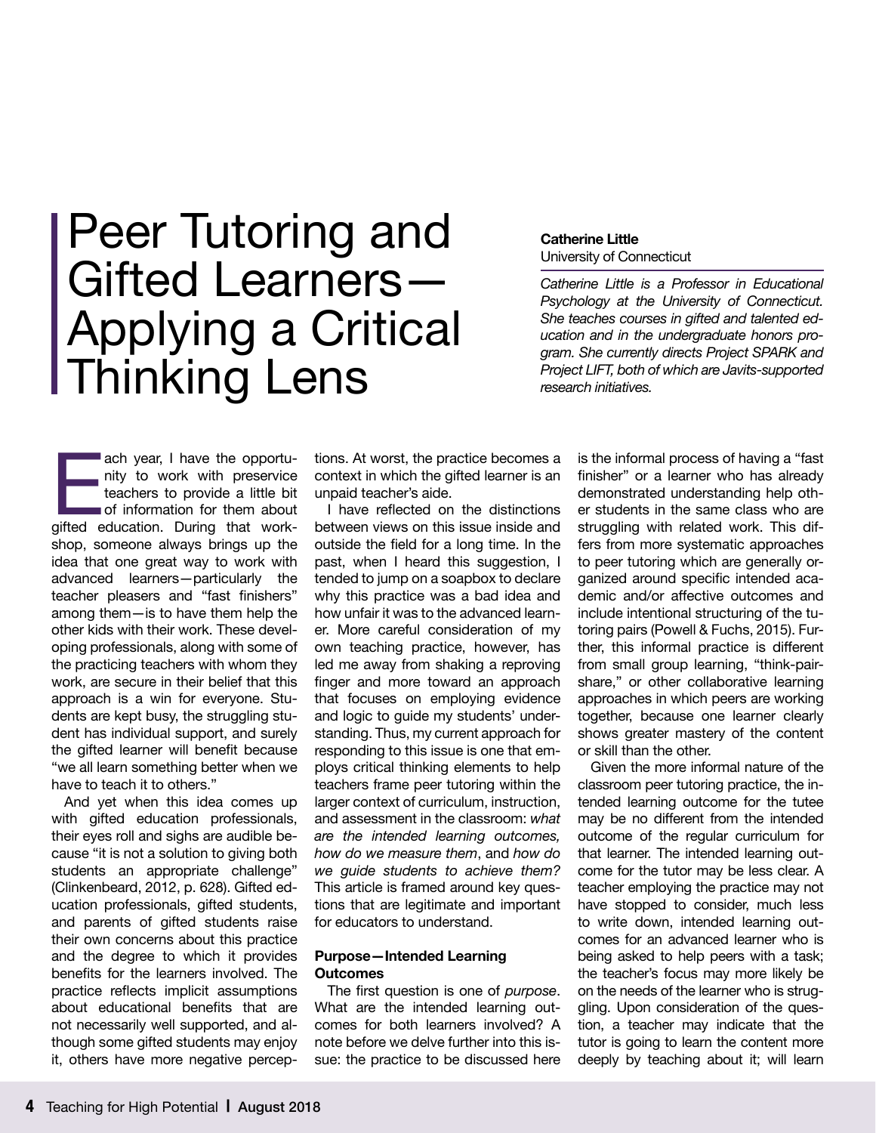# Peer Tutoring and Gifted Learners— Applying a Critical Thinking Lens

**Catherine Little** University of Connecticut

*Catherine Little is a Professor in Educational Psychology at the University of Connecticut. She teaches courses in gifted and talented education and in the undergraduate honors program. She currently directs Project SPARK and Project LIFT, both of which are Javits-supported research initiatives.* 

ach year, I have the opportumity to work with preservice<br>teachers to provide a little bit<br>of information for them about<br>gifted education. During that worknity to work with preservice teachers to provide a little bit of information for them about shop, someone always brings up the idea that one great way to work with advanced learners—particularly the teacher pleasers and "fast finishers" among them—is to have them help the other kids with their work. These developing professionals, along with some of the practicing teachers with whom they work, are secure in their belief that this approach is a win for everyone. Students are kept busy, the struggling student has individual support, and surely the gifted learner will benefit because "we all learn something better when we have to teach it to others."

And yet when this idea comes up with gifted education professionals, their eyes roll and sighs are audible because "it is not a solution to giving both students an appropriate challenge" (Clinkenbeard, 2012, p. 628). Gifted education professionals, gifted students, and parents of gifted students raise their own concerns about this practice and the degree to which it provides benefits for the learners involved. The practice reflects implicit assumptions about educational benefits that are not necessarily well supported, and although some gifted students may enjoy it, others have more negative perceptions. At worst, the practice becomes a context in which the gifted learner is an unpaid teacher's aide.

I have reflected on the distinctions between views on this issue inside and outside the field for a long time. In the past, when I heard this suggestion, I tended to jump on a soapbox to declare why this practice was a bad idea and how unfair it was to the advanced learner. More careful consideration of my own teaching practice, however, has led me away from shaking a reproving finger and more toward an approach that focuses on employing evidence and logic to guide my students' understanding. Thus, my current approach for responding to this issue is one that employs critical thinking elements to help teachers frame peer tutoring within the larger context of curriculum, instruction, and assessment in the classroom: *what are the intended learning outcomes, how do we measure them*, and *how do we guide students to achieve them?* This article is framed around key questions that are legitimate and important for educators to understand.

#### **Purpose—Intended Learning Outcomes**

The first question is one of *purpose*. What are the intended learning outcomes for both learners involved? A note before we delve further into this issue: the practice to be discussed here

is the informal process of having a "fast finisher" or a learner who has already demonstrated understanding help other students in the same class who are struggling with related work. This differs from more systematic approaches to peer tutoring which are generally organized around specific intended academic and/or affective outcomes and include intentional structuring of the tutoring pairs (Powell & Fuchs, 2015). Further, this informal practice is different from small group learning, "think-pairshare," or other collaborative learning approaches in which peers are working together, because one learner clearly shows greater mastery of the content or skill than the other.

Given the more informal nature of the classroom peer tutoring practice, the intended learning outcome for the tutee may be no different from the intended outcome of the regular curriculum for that learner. The intended learning outcome for the tutor may be less clear. A teacher employing the practice may not have stopped to consider, much less to write down, intended learning outcomes for an advanced learner who is being asked to help peers with a task; the teacher's focus may more likely be on the needs of the learner who is struggling. Upon consideration of the question, a teacher may indicate that the tutor is going to learn the content more deeply by teaching about it; will learn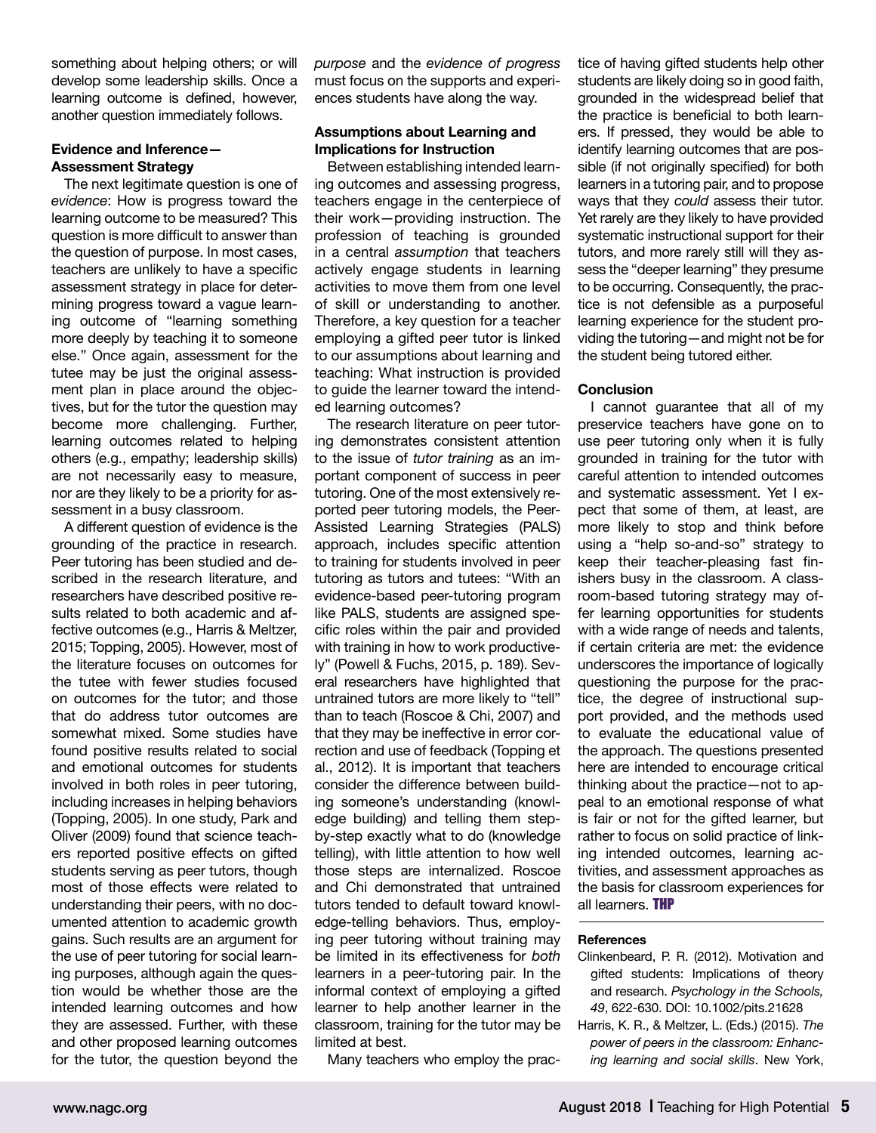something about helping others; or will develop some leadership skills. Once a learning outcome is defined, however, another question immediately follows.

#### **Evidence and Inference— Assessment Strategy**

The next legitimate question is one of *evidence*: How is progress toward the learning outcome to be measured? This question is more difficult to answer than the question of purpose. In most cases, teachers are unlikely to have a specific assessment strategy in place for determining progress toward a vague learning outcome of "learning something more deeply by teaching it to someone else." Once again, assessment for the tutee may be just the original assessment plan in place around the objectives, but for the tutor the question may become more challenging. Further, learning outcomes related to helping others (e.g., empathy; leadership skills) are not necessarily easy to measure, nor are they likely to be a priority for assessment in a busy classroom.

A different question of evidence is the grounding of the practice in research. Peer tutoring has been studied and described in the research literature, and researchers have described positive results related to both academic and affective outcomes (e.g., Harris & Meltzer, 2015; Topping, 2005). However, most of the literature focuses on outcomes for the tutee with fewer studies focused on outcomes for the tutor; and those that do address tutor outcomes are somewhat mixed. Some studies have found positive results related to social and emotional outcomes for students involved in both roles in peer tutoring, including increases in helping behaviors (Topping, 2005). In one study, Park and Oliver (2009) found that science teachers reported positive effects on gifted students serving as peer tutors, though most of those effects were related to understanding their peers, with no documented attention to academic growth gains. Such results are an argument for the use of peer tutoring for social learning purposes, although again the question would be whether those are the intended learning outcomes and how they are assessed. Further, with these and other proposed learning outcomes for the tutor, the question beyond the

*purpose* and the *evidence of progress* must focus on the supports and experiences students have along the way.

#### **Assumptions about Learning and Implications for Instruction**

Between establishing intended learning outcomes and assessing progress, teachers engage in the centerpiece of their work—providing instruction. The profession of teaching is grounded in a central *assumption* that teachers actively engage students in learning activities to move them from one level of skill or understanding to another. Therefore, a key question for a teacher employing a gifted peer tutor is linked to our assumptions about learning and teaching: What instruction is provided to guide the learner toward the intended learning outcomes?

The research literature on peer tutoring demonstrates consistent attention to the issue of *tutor training* as an important component of success in peer tutoring. One of the most extensively reported peer tutoring models, the Peer-Assisted Learning Strategies (PALS) approach, includes specific attention to training for students involved in peer tutoring as tutors and tutees: "With an evidence-based peer-tutoring program like PALS, students are assigned specific roles within the pair and provided with training in how to work productively" (Powell & Fuchs, 2015, p. 189). Several researchers have highlighted that untrained tutors are more likely to "tell" than to teach (Roscoe & Chi, 2007) and that they may be ineffective in error correction and use of feedback (Topping et al., 2012). It is important that teachers consider the difference between building someone's understanding (knowledge building) and telling them stepby-step exactly what to do (knowledge telling), with little attention to how well those steps are internalized. Roscoe and Chi demonstrated that untrained tutors tended to default toward knowledge-telling behaviors. Thus, employing peer tutoring without training may be limited in its effectiveness for *both* learners in a peer-tutoring pair. In the informal context of employing a gifted learner to help another learner in the classroom, training for the tutor may be limited at best.

Many teachers who employ the prac-

tice of having gifted students help other students are likely doing so in good faith, grounded in the widespread belief that the practice is beneficial to both learners. If pressed, they would be able to identify learning outcomes that are possible (if not originally specified) for both learners in a tutoring pair, and to propose ways that they *could* assess their tutor. Yet rarely are they likely to have provided systematic instructional support for their tutors, and more rarely still will they assess the "deeper learning" they presume to be occurring. Consequently, the practice is not defensible as a purposeful learning experience for the student providing the tutoring—and might not be for the student being tutored either.

#### **Conclusion**

I cannot guarantee that all of my preservice teachers have gone on to use peer tutoring only when it is fully grounded in training for the tutor with careful attention to intended outcomes and systematic assessment. Yet I expect that some of them, at least, are more likely to stop and think before using a "help so-and-so" strategy to keep their teacher-pleasing fast finishers busy in the classroom. A classroom-based tutoring strategy may offer learning opportunities for students with a wide range of needs and talents, if certain criteria are met: the evidence underscores the importance of logically questioning the purpose for the practice, the degree of instructional support provided, and the methods used to evaluate the educational value of the approach. The questions presented here are intended to encourage critical thinking about the practice—not to appeal to an emotional response of what is fair or not for the gifted learner, but rather to focus on solid practice of linking intended outcomes, learning activities, and assessment approaches as the basis for classroom experiences for all learners. **THP** 

#### **References**

- Clinkenbeard, P. R. (2012). Motivation and gifted students: Implications of theory and research. *Psychology in the Schools, 49*, 622-630. DOI: 10.1002/pits.21628
- Harris, K. R., & Meltzer, L. (Eds.) (2015). *The power of peers in the classroom: Enhancing learning and social skills*. New York,